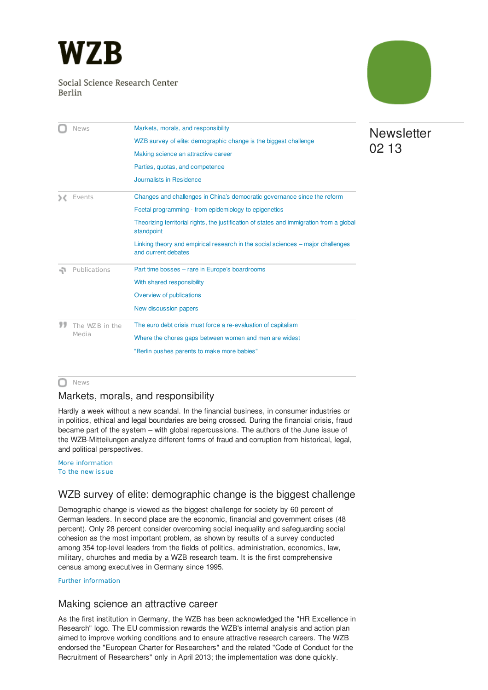<span id="page-0-3"></span>

### Social Science Research Center Berlin



|     | <b>News</b>             | Markets, morals, and responsibility                                                                    |
|-----|-------------------------|--------------------------------------------------------------------------------------------------------|
|     |                         | WZB survey of elite: demographic change is the biggest challenge                                       |
|     |                         | Making science an attractive career                                                                    |
|     |                         | Parties, quotas, and competence                                                                        |
|     |                         | Journalists in Residence                                                                               |
|     | Events                  | Changes and challenges in China's democratic governance since the reform                               |
|     |                         | Foetal programming - from epidemiology to epigenetics                                                  |
|     |                         | Theorizing territorial rights, the justification of states and immigration from a global<br>standpoint |
|     |                         | Linking theory and empirical research in the social sciences – major challenges<br>and current debates |
| -71 | Publications            | Part time bosses - rare in Europe's boardrooms                                                         |
|     |                         | With shared responsibility                                                                             |
|     |                         | Overview of publications                                                                               |
|     |                         | New discussion papers                                                                                  |
|     | The WZB in the<br>Media | The euro debt crisis must force a re-evaluation of capitalism                                          |
|     |                         | Where the chores gaps between women and men are widest                                                 |
|     |                         | "Berlin pushes parents to make more babies"                                                            |

#### **O** News

### <span id="page-0-0"></span>Markets, morals, and responsibility

Hardly a week without a new scandal. In the financial business, in consumer industries or in politics, ethical and legal boundaries are being crossed. During the financial crisis, fraud became part of the system – with global repercussions. The authors of the June issue of the WZB-Mitteilungen analyze different forms of fraud and corruption from historical, legal, and political perspectives.

#### More [information](http://www.wzb.eu/en/news/markets-morals-and-responsibility) To the new [issue](http://www.wzb.eu/de/publikationen/wzb-mitteilungen)

### <span id="page-0-1"></span>WZB survey of elite: demographic change is the biggest challenge

Demographic change is viewed as the biggest challenge for society by 60 percent of German leaders. In second place are the economic, financial and government crises (48 percent). Only 28 percent consider overcoming social inequality and safeguarding social cohesion as the most important problem, as shown by results of a survey conducted among 354 top-level leaders from the fields of politics, administration, economics, law, military, churches and media by a WZB research team. It is the first comprehensive census among executives in Germany since 1995.

Further [information](http://www.wzb.eu/en/press-release/elite-demographic-change-is-the-biggest-challenge)

#### <span id="page-0-2"></span>Making science an attractive career

As the first institution in Germany, the WZB has been acknowledged the "HR Excellence in Research" logo. The EU commission rewards the WZB's internal analysis and action plan aimed to improve working conditions and to ensure attractive research careers. The WZB endorsed the "European Charter for Researchers" and the related "Code of Conduct for the Recruitment of Researchers" only in April 2013; the implementation was done quickly.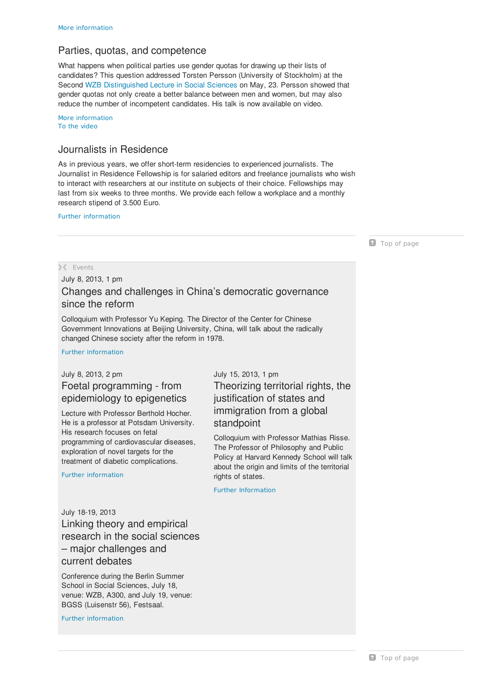# <span id="page-1-0"></span>Parties, quotas, and competence

What happens when political parties use gender quotas for drawing up their lists of candidates? This question addressed Torsten Persson (University of Stockholm) at the Second WZB [Distinguished](http://www.wzb.eu/en/events/veranstaltungsreihen/distinguished-lectures-in-the-social-sciences) Lecture in Social Sciences on May, 23. Persson showed that gender quotas not only create a better balance between men and women, but may also reduce the number of incompetent candidates. His talk is now available on video.

More [information](http://www.wzb.eu/en/news/parties-quotas-and-competence) To the [video](http://vimeo.com/67046978)

# <span id="page-1-1"></span>Journalists in Residence

As in previous years, we offer short-term residencies to experienced journalists. The Journalist in Residence Fellowship is for salaried editors and freelance journalists who wish to interact with researchers at our institute on subjects of their choice. Fellowships may last from six weeks to three months. We provide each fellow a workplace and a monthly research stipend of 3.500 Euro.

Further [information](http://www.wzb.eu/en/press-release/people-in-poorer-countries-show-higher-tolerance-for-risk)

**Top of [page](#page-0-3)** 

### **Events**

<span id="page-1-2"></span>July 8, 2013, 1 pm

# Changes and challenges in China's democratic governance since the reform

Colloquium with Professor Yu Keping. The Director of the Center for Chinese Government Innovations at Beijing University, China, will talk about the radically changed Chinese society after the reform in 1978.

Further [information](http://www.wzb.eu/en/veranstaltungen/yu-keping-changes-and-challenges-in-china-s-democratic-governance-since-the-reform)

## <span id="page-1-3"></span>July 8, 2013, 2 pm Foetal programming - from epidemiology to epigenetics

Lecture with Professor Berthold Hocher. He is a professor at Potsdam University. His research focuses on fetal programming of cardiovascular diseases, exploration of novel targets for the treatment of diabetic complications.

Further [information](http://www.wzb.eu/en/node/23684)

<span id="page-1-4"></span>July 15, 2013, 1 pm Theorizing territorial rights, the justification of states and immigration from a global standpoint

Colloquium with Professor Mathias Risse. The Professor of Philosophy and Public Policy at Harvard Kennedy School will talk about the origin and limits of the territorial rights of states.

Further [Information](http://www.wzb.eu/de/veranstaltungen/mathias-risse-taking-up-space-on-earth-theorizing-territorial-rights-the-justification-of-stat)

<span id="page-1-5"></span>July 18-19, 2013 Linking theory and empirical research in the social sciences – major challenges and current debates

Conference during the Berlin Summer School in Social Sciences, July 18, venue: WZB, A300, and July 19, venue: BGSS (Luisenstr 56), Festsaal.

Further [information](http://berlinsummerschool.de/welcome-to-the-berlin-summer-school-in-social-sciences/)

**T** Top of [page](#page-0-3)